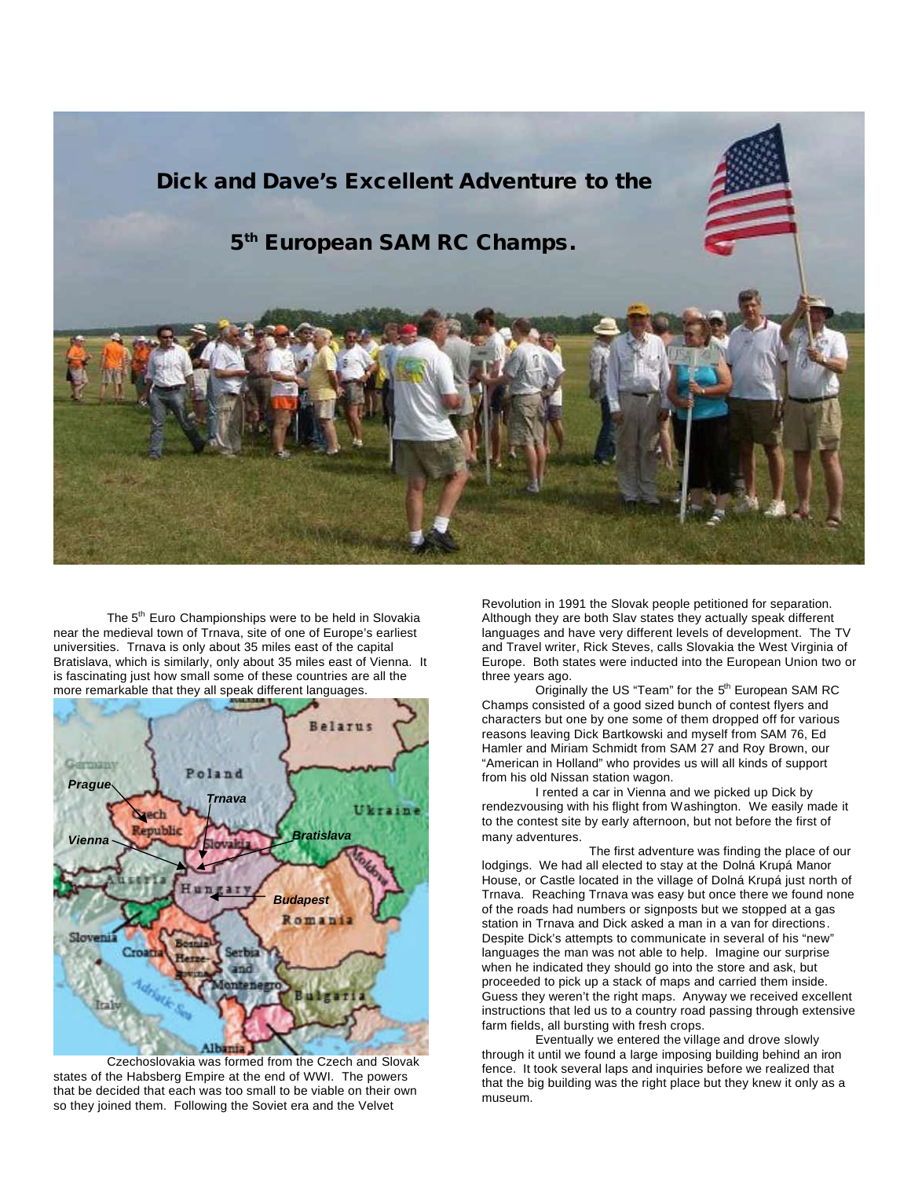

The 5<sup>th</sup> Euro Championships were to be held in Slovakia near the medieval town of Trnava, site of one of Europe's earliest universities. Trnava is only about 35 miles east of the capital Bratislava, which is similarly, only about 35 miles east of Vienna. It is fascinating just how small some of these countries are all the more remarkable that they all speak different languages.



Czechoslovakia was formed from the Czech and Slovak states of the Habsberg Empire at the end of WWI. The powers that be decided that each was too small to be viable on their own so they joined them. Following the Soviet era and the Velvet

Revolution in 1991 the Slovak people petitioned for separation. Although they are both Slav states they actually speak different languages and have very different levels of development. The TV and Travel writer, Rick Steves, calls Slovakia the West Virginia of Europe. Both states were inducted into the European Union two or three years ago.

Originally the US "Team" for the 5<sup>th</sup> European SAM RC Champs consisted of a good sized bunch of contest flyers and characters but one by one some of them dropped off for various reasons leaving Dick Bartkowski and myself from SAM 76, Ed Hamler and Miriam Schmidt from SAM 27 and Roy Brown, our "American in Holland" who provides us will all kinds of support from his old Nissan station wagon.

I rented a car in Vienna and we picked up Dick by rendezvousing with his flight from Washington. We easily made it to the contest site by early afternoon, but not before the first of many adventures.

The first adventure was finding the place of our lodgings. We had all elected to stay at the Dolná Krupá Manor House, or Castle located in the village of Dolná Krupá just north of Trnava. Reaching Trnava was easy but once there we found none of the roads had numbers or signposts but we stopped at a gas station in Trnava and Dick asked a man in a van for directions. Despite Dick's attempts to communicate in several of his "new" languages the man was not able to help. Imagine our surprise when he indicated they should go into the store and ask, but proceeded to pick up a stack of maps and carried them inside. Guess they weren't the right maps. Anyway we received excellent instructions that led us to a country road passing through extensive farm fields, all bursting with fresh crops.

Eventually we entered the village and drove slowly through it until we found a large imposing building behind an iron fence. It took several laps and inquiries before we realized that that the big building was the right place but they knew it only as a museum.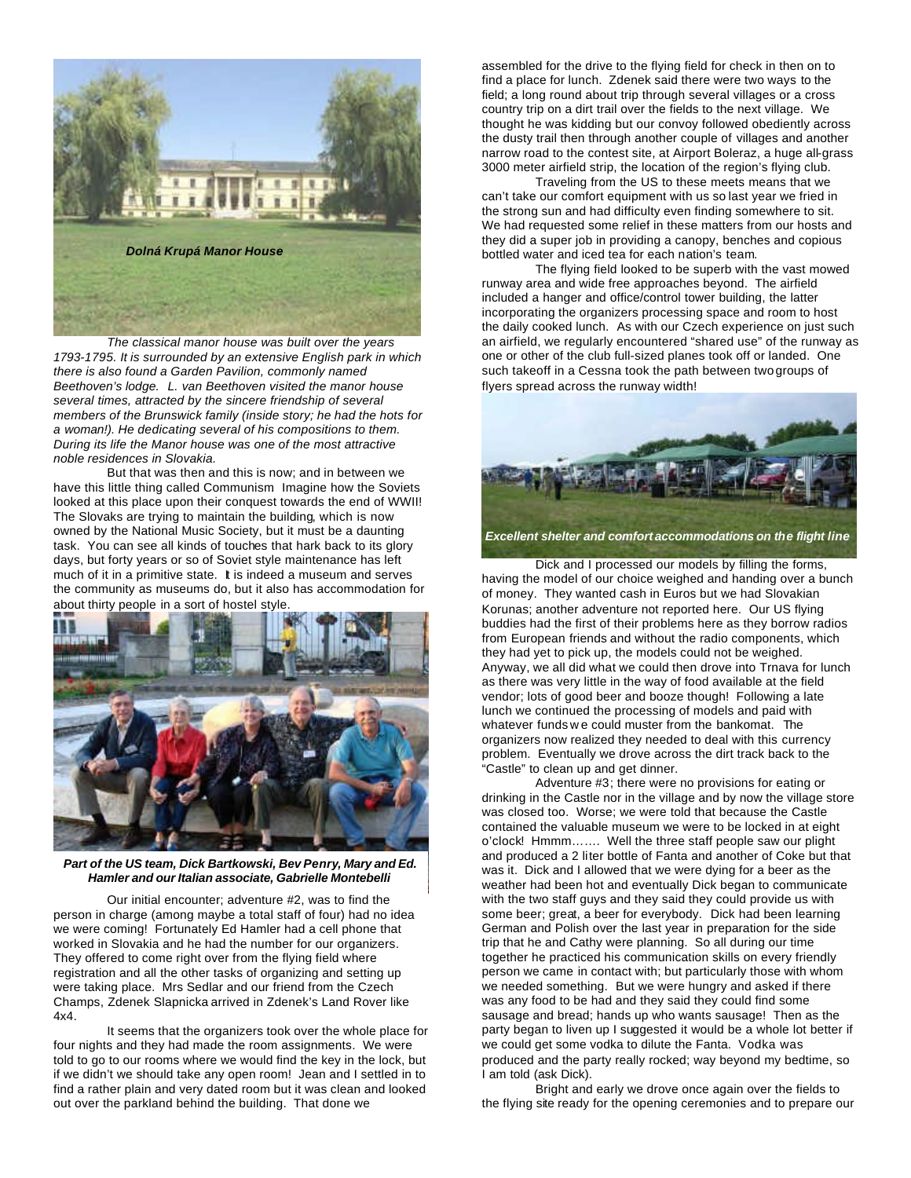

*The classical manor house was built over the years 1793-1795. It is surrounded by an extensive English park in which there is also found a Garden Pavilion, commonly named Beethoven's lodge. L. van Beethoven visited the manor house several times, attracted by the sincere friendship of several members of the Brunswick family (inside story; he had the hots for a woman!). He dedicating several of his compositions to them. During its life the Manor house was one of the most attractive noble residences in Slovakia.*

But that was then and this is now; and in between we have this little thing called Communism. Imagine how the Soviets looked at this place upon their conquest towards the end of WWII! The Slovaks are trying to maintain the building, which is now owned by the National Music Society, but it must be a daunting task. You can see all kinds of touches that hark back to its glory days, but forty years or so of Soviet style maintenance has left much of it in a primitive state. It is indeed a museum and serves the community as museums do, but it also has accommodation for about thirty people in a sort of hostel style.



*Part of the US team, Dick Bartkowski, Bev Penry, Mary and Ed. Hamler and our Italian associate, Gabrielle Montebelli*

Our initial encounter; adventure #2, was to find the person in charge (among maybe a total staff of four) had no idea we were coming! Fortunately Ed Hamler had a cell phone that worked in Slovakia and he had the number for our organizers. They offered to come right over from the flying field where registration and all the other tasks of organizing and setting up were taking place. Mrs Sedlar and our friend from the Czech Champs, Zdenek Slapnicka arrived in Zdenek's Land Rover like 4x4.

It seems that the organizers took over the whole place for four nights and they had made the room assignments. We were told to go to our rooms where we would find the key in the lock, but if we didn't we should take any open room! Jean and I settled in to find a rather plain and very dated room but it was clean and looked out over the parkland behind the building. That done we

assembled for the drive to the flying field for check in then on to find a place for lunch. Zdenek said there were two ways to the field; a long round about trip through several villages or a cross country trip on a dirt trail over the fields to the next village. We thought he was kidding but our convoy followed obediently across the dusty trail then through another couple of villages and another narrow road to the contest site, at Airport Boleraz, a huge all-grass 3000 meter airfield strip, the location of the region's flying club.

Traveling from the US to these meets means that we can't take our comfort equipment with us so last year we fried in the strong sun and had difficulty even finding somewhere to sit. We had requested some relief in these matters from our hosts and they did a super job in providing a canopy, benches and copious bottled water and iced tea for each nation's team.

The flying field looked to be superb with the vast mowed runway area and wide free approaches beyond. The airfield included a hanger and office/control tower building, the latter incorporating the organizers processing space and room to host the daily cooked lunch. As with our Czech experience on just such an airfield, we regularly encountered "shared use" of the runway as one or other of the club full-sized planes took off or landed. One such takeoff in a Cessna took the path between two groups of flyers spread across the runway width!



*Excellent shelter and comfort accommodations on the flight line*

Dick and I processed our models by filling the forms, having the model of our choice weighed and handing over a bunch of money. They wanted cash in Euros but we had Slovakian Korunas; another adventure not reported here. Our US flying buddies had the first of their problems here as they borrow radios from European friends and without the radio components, which they had yet to pick up, the models could not be weighed. Anyway, we all did what we could then drove into Trnava for lunch as there was very little in the way of food available at the field vendor; lots of good beer and booze though! Following a late lunch we continued the processing of models and paid with whatever funds w e could muster from the bankomat. The organizers now realized they needed to deal with this currency problem. Eventually we drove across the dirt track back to the "Castle" to clean up and get dinner.

Adventure #3; there were no provisions for eating or drinking in the Castle nor in the village and by now the village store was closed too. Worse; we were told that because the Castle contained the valuable museum we were to be locked in at eight o'clock! Hmmm……. Well the three staff people saw our plight and produced a 2 liter bottle of Fanta and another of Coke but that was it. Dick and I allowed that we were dying for a beer as the weather had been hot and eventually Dick began to communicate with the two staff guys and they said they could provide us with some beer; great, a beer for everybody. Dick had been learning German and Polish over the last year in preparation for the side trip that he and Cathy were planning. So all during our time together he practiced his communication skills on every friendly person we came in contact with; but particularly those with whom we needed something. But we were hungry and asked if there was any food to be had and they said they could find some sausage and bread; hands up who wants sausage! Then as the party began to liven up I suggested it would be a whole lot better if we could get some vodka to dilute the Fanta. Vodka was produced and the party really rocked; way beyond my bedtime, so I am told (ask Dick).

Bright and early we drove once again over the fields to the flying site ready for the opening ceremonies and to prepare our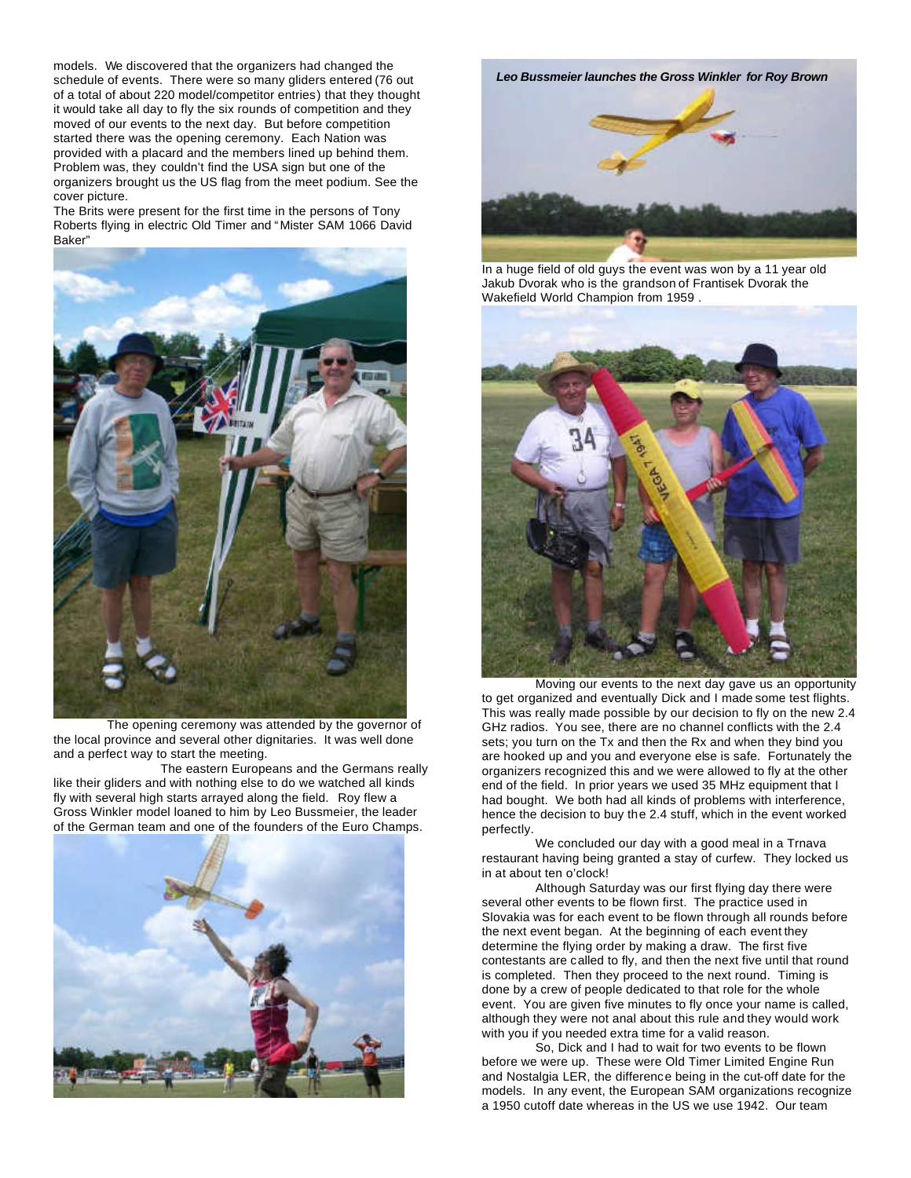models. We discovered that the organizers had changed the schedule of events. There were so many gliders entered (76 out of a total of about 220 model/competitor entries) that they thought it would take all day to fly the six rounds of competition and they moved of our events to the next day. But before competition started there was the opening ceremony. Each Nation was provided with a placard and the members lined up behind them. Problem was, they couldn't find the USA sign but one of the organizers brought us the US flag from the meet podium. See the cover picture.

The Brits were present for the first time in the persons of Tony Roberts flying in electric Old Timer and "Mister SAM 1066 David Baker"



The opening ceremony was attended by the governor of the local province and several other dignitaries. It was well done and a perfect way to start the meeting.

 The eastern Europeans and the Germans really like their gliders and with nothing else to do we watched all kinds fly with several high starts arrayed along the field. Roy flew a Gross Winkler model loaned to him by Leo Bussmeier, the leader of the German team and one of the founders of the Euro Champs.



*Leo Bussmeier launches the Gross Winkler for Roy Brown*



In a huge field of old guys the event was won by a 11 year old Jakub Dvorak who is the grandson of Frantisek Dvorak the Wakefield World Champion from 1959 .



Moving our events to the next day gave us an opportunity to get organized and eventually Dick and I made some test flights. This was really made possible by our decision to fly on the new 2.4 GHz radios. You see, there are no channel conflicts with the 2.4 sets; you turn on the Tx and then the Rx and when they bind you are hooked up and you and everyone else is safe. Fortunately the organizers recognized this and we were allowed to fly at the other end of the field. In prior years we used 35 MHz equipment that I had bought. We both had all kinds of problems with interference, hence the decision to buy the 2.4 stuff, which in the event worked perfectly.

We concluded our day with a good meal in a Trnava restaurant having being granted a stay of curfew. They locked us in at about ten o'clock!

Although Saturday was our first flying day there were several other events to be flown first. The practice used in Slovakia was for each event to be flown through all rounds before the next event began. At the beginning of each event they determine the flying order by making a draw. The first five contestants are called to fly, and then the next five until that round is completed. Then they proceed to the next round. Timing is done by a crew of people dedicated to that role for the whole event. You are given five minutes to fly once your name is called, although they were not anal about this rule and they would work with you if you needed extra time for a valid reason.

So, Dick and I had to wait for two events to be flown before we were up. These were Old Timer Limited Engine Run and Nostalgia LER, the difference being in the cut-off date for the models. In any event, the European SAM organizations recognize a 1950 cutoff date whereas in the US we use 1942. Our team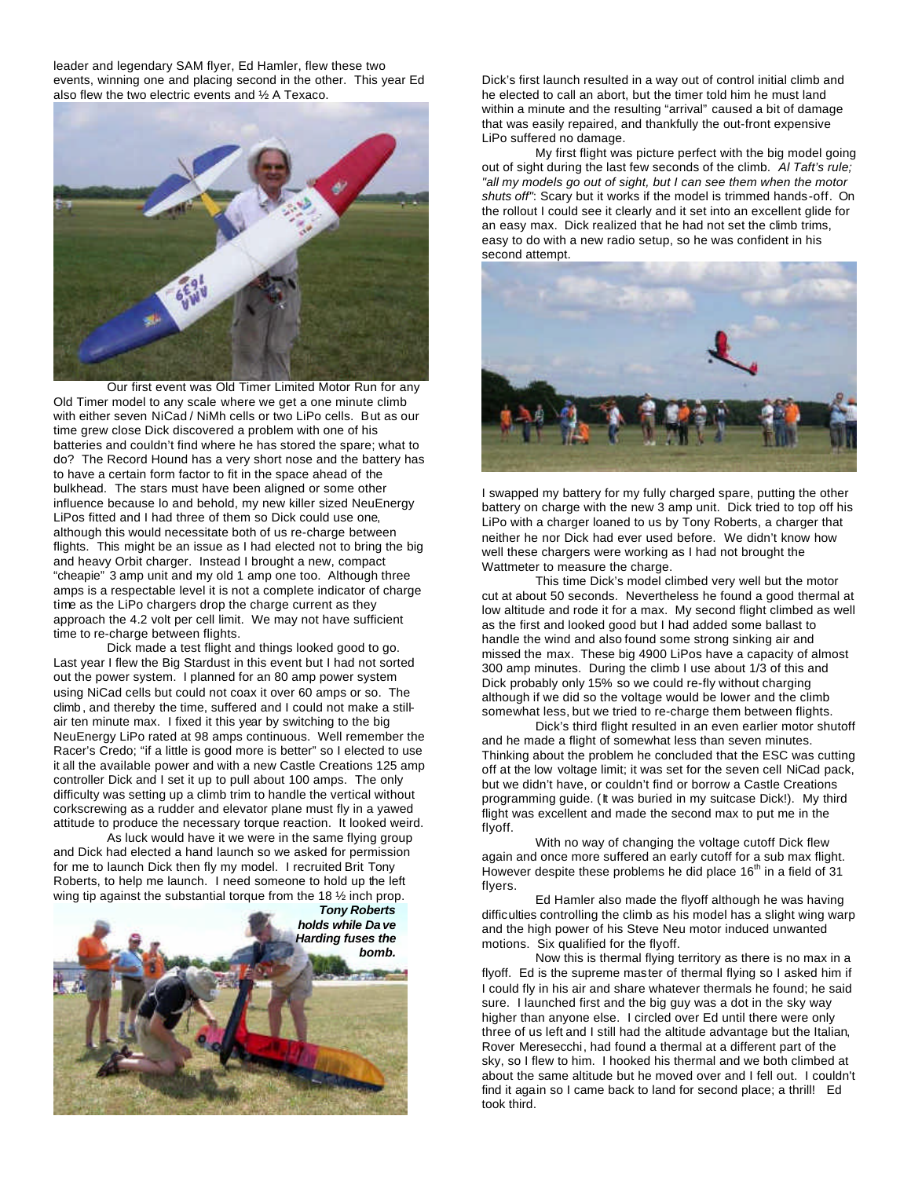leader and legendary SAM flyer, Ed Hamler, flew these two events, winning one and placing second in the other. This year Ed also flew the two electric events and ½ A Texaco.



Our first event was Old Timer Limited Motor Run for any Old Timer model to any scale where we get a one minute climb with either seven NiCad / NiMh cells or two LiPo cells. But as our time grew close Dick discovered a problem with one of his batteries and couldn't find where he has stored the spare; what to do? The Record Hound has a very short nose and the battery has to have a certain form factor to fit in the space ahead of the bulkhead. The stars must have been aligned or some other influence because lo and behold, my new killer sized NeuEnergy LiPos fitted and I had three of them so Dick could use one, although this would necessitate both of us re-charge between flights. This might be an issue as I had elected not to bring the big and heavy Orbit charger. Instead I brought a new, compact "cheapie" 3 amp unit and my old 1 amp one too. Although three amps is a respectable level it is not a complete indicator of charge time as the LiPo chargers drop the charge current as they approach the 4.2 volt per cell limit. We may not have sufficient time to re-charge between flights.

Dick made a test flight and things looked good to go. Last year I flew the Big Stardust in this event but I had not sorted out the power system. I planned for an 80 amp power system using NiCad cells but could not coax it over 60 amps or so. The climb , and thereby the time, suffered and I could not make a stillair ten minute max. I fixed it this year by switching to the big NeuEnergy LiPo rated at 98 amps continuous. Well remember the Racer's Credo; "if a little is good more is better" so I elected to use it all the available power and with a new Castle Creations 125 amp controller Dick and I set it up to pull about 100 amps. The only difficulty was setting up a climb trim to handle the vertical without corkscrewing as a rudder and elevator plane must fly in a yawed attitude to produce the necessary torque reaction. It looked weird.

As luck would have it we were in the same flying group and Dick had elected a hand launch so we asked for permission for me to launch Dick then fly my model. I recruited Brit Tony Roberts, to help me launch. I need someone to hold up the left wing tip against the substantial torque from the 18  $\frac{1}{2}$  inch prop.



Dick's first launch resulted in a way out of control initial climb and he elected to call an abort, but the timer told him he must land within a minute and the resulting "arrival" caused a bit of damage that was easily repaired, and thankfully the out-front expensive LiPo suffered no damage.

My first flight was picture perfect with the big model going out of sight during the last few seconds of the climb. *Al Taft's rule; "all my models go out of sight, but I can see them when the motor shuts off"*: Scary but it works if the model is trimmed hands-off. On the rollout I could see it clearly and it set into an excellent glide for an easy max. Dick realized that he had not set the climb trims, easy to do with a new radio setup, so he was confident in his second attempt.



I swapped my battery for my fully charged spare, putting the other battery on charge with the new 3 amp unit. Dick tried to top off his LiPo with a charger loaned to us by Tony Roberts, a charger that neither he nor Dick had ever used before. We didn't know how well these chargers were working as I had not brought the Wattmeter to measure the charge.

This time Dick's model climbed very well but the motor cut at about 50 seconds. Nevertheless he found a good thermal at low altitude and rode it for a max. My second flight climbed as well as the first and looked good but I had added some ballast to handle the wind and also found some strong sinking air and missed the max. These big 4900 LiPos have a capacity of almost 300 amp minutes. During the climb I use about 1/3 of this and Dick probably only 15% so we could re-fly without charging although if we did so the voltage would be lower and the climb somewhat less, but we tried to re-charge them between flights.

Dick's third flight resulted in an even earlier motor shutoff and he made a flight of somewhat less than seven minutes. Thinking about the problem he concluded that the ESC was cutting off at the low voltage limit; it was set for the seven cell NiCad pack, but we didn't have, or couldn't find or borrow a Castle Creations programming guide. (It was buried in my suitcase Dick!). My third flight was excellent and made the second max to put me in the flyoff.

With no way of changing the voltage cutoff Dick flew again and once more suffered an early cutoff for a sub max flight. However despite these problems he did place  $16<sup>th</sup>$  in a field of 31 flyers.

Ed Hamler also made the flyoff although he was having difficulties controlling the climb as his model has a slight wing warp and the high power of his Steve Neu motor induced unwanted motions. Six qualified for the flyoff.

Now this is thermal flying territory as there is no max in a flyoff. Ed is the supreme master of thermal flying so I asked him if I could fly in his air and share whatever thermals he found; he said sure. I launched first and the big guy was a dot in the sky way higher than anyone else. I circled over Ed until there were only three of us left and I still had the altitude advantage but the Italian, Rover Meresecchi, had found a thermal at a different part of the sky, so I flew to him. I hooked his thermal and we both climbed at about the same altitude but he moved over and I fell out. I couldn't find it again so I came back to land for second place; a thrill! Ed took third.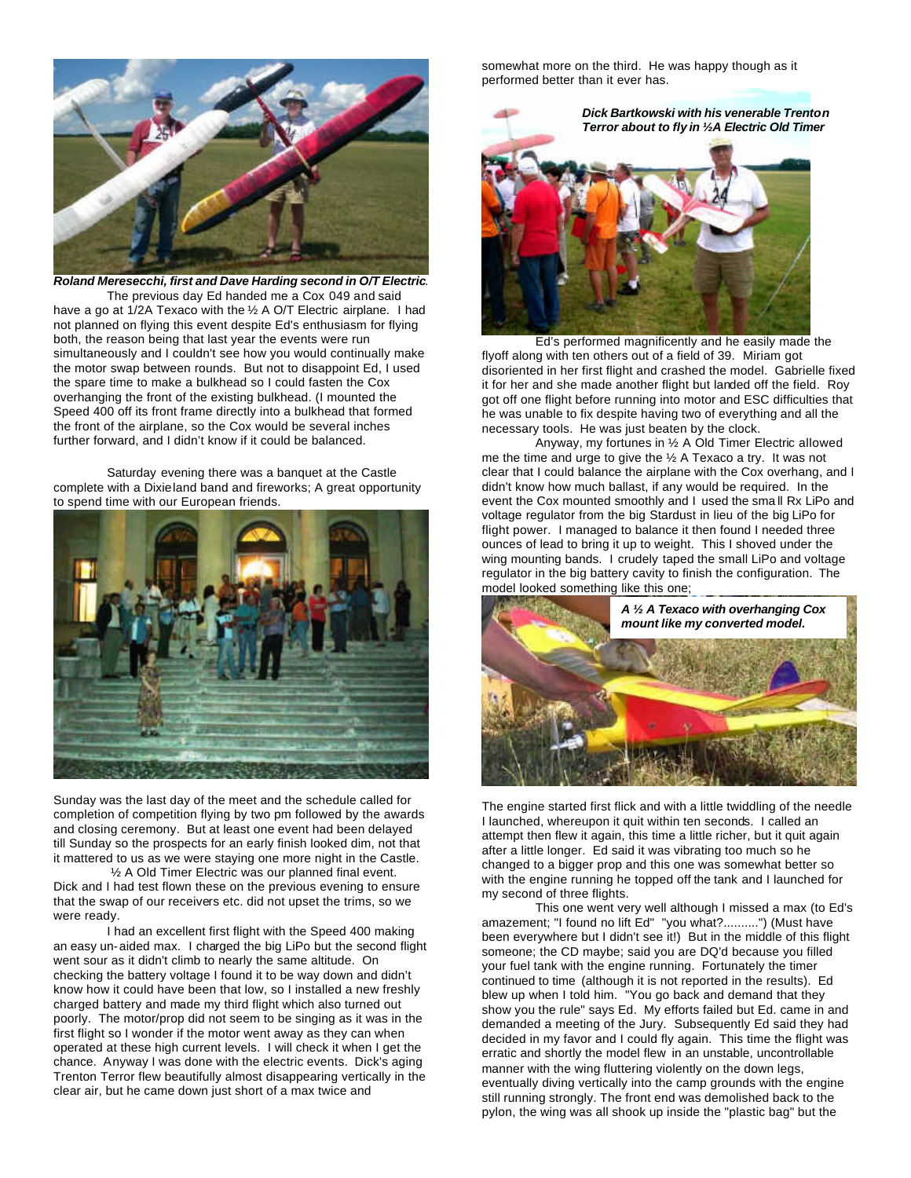

*Roland Meresecchi, first and Dave Harding second in O/T Electric*. The previous day Ed handed me a Cox 049 and said have a go at 1/2A Texaco with the 1/2 A O/T Electric airplane. I had not planned on flying this event despite Ed's enthusiasm for flying both, the reason being that last year the events were run simultaneously and I couldn't see how you would continually make the motor swap between rounds. But not to disappoint Ed, I used the spare time to make a bulkhead so I could fasten the Cox overhanging the front of the existing bulkhead. (I mounted the Speed 400 off its front frame directly into a bulkhead that formed the front of the airplane, so the Cox would be several inches further forward, and I didn't know if it could be balanced.

Saturday evening there was a banquet at the Castle complete with a Dixieland band and fireworks; A great opportunity to spend time with our European friends.



Sunday was the last day of the meet and the schedule called for completion of competition flying by two pm followed by the awards and closing ceremony. But at least one event had been delayed till Sunday so the prospects for an early finish looked dim, not that it mattered to us as we were staying one more night in the Castle.

 ½ A Old Timer Electric was our planned final event. Dick and I had test flown these on the previous evening to ensure that the swap of our receivers etc. did not upset the trims, so we were ready.

I had an excellent first flight with the Speed 400 making an easy un-aided max. I charged the big LiPo but the second flight went sour as it didn't climb to nearly the same altitude. On checking the battery voltage I found it to be way down and didn't know how it could have been that low, so I installed a new freshly charged battery and made my third flight which also turned out poorly. The motor/prop did not seem to be singing as it was in the first flight so I wonder if the motor went away as they can when operated at these high current levels. I will check it when I get the chance. Anyway I was done with the electric events. Dick's aging Trenton Terror flew beautifully almost disappearing vertically in the clear air, but he came down just short of a max twice and

somewhat more on the third. He was happy though as it performed better than it ever has.

> *Dick Bartkowski with his venerable Trenton Terror about to fly in ½A Electric Old Timer*



Ed's performed magnificently and he easily made the flyoff along with ten others out of a field of 39. Miriam got disoriented in her first flight and crashed the model. Gabrielle fixed it for her and she made another flight but landed off the field. Roy got off one flight before running into motor and ESC difficulties that he was unable to fix despite having two of everything and all the necessary tools. He was just beaten by the clock.

Anyway, my fortunes in ½ A Old Timer Electric allowed me the time and urge to give the ½ A Texaco a try. It was not clear that I could balance the airplane with the Cox overhang, and I didn't know how much ballast, if any would be required. In the event the Cox mounted smoothly and I used the sma ll Rx LiPo and voltage regulator from the big Stardust in lieu of the big LiPo for flight power. I managed to balance it then found I needed three ounces of lead to bring it up to weight. This I shoved under the wing mounting bands. I crudely taped the small LiPo and voltage regulator in the big battery cavity to finish the configuration. The model looked something like this one;



The engine started first flick and with a little twiddling of the needle I launched, whereupon it quit within ten seconds. I called an attempt then flew it again, this time a little richer, but it quit again after a little longer. Ed said it was vibrating too much so he changed to a bigger prop and this one was somewhat better so with the engine running he topped off the tank and I launched for my second of three flights.

This one went very well although I missed a max (to Ed's amazement; "I found no lift Ed" "you what?..........") (Must have been everywhere but I didn't see it!) But in the middle of this flight someone; the CD maybe; said you are DQ'd because you filled your fuel tank with the engine running. Fortunately the timer continued to time (although it is not reported in the results). Ed blew up when I told him. "You go back and demand that they show you the rule" says Ed. My efforts failed but Ed. came in and demanded a meeting of the Jury. Subsequently Ed said they had decided in my favor and I could fly again. This time the flight was erratic and shortly the model flew in an unstable, uncontrollable manner with the wing fluttering violently on the down legs, eventually diving vertically into the camp grounds with the engine still running strongly. The front end was demolished back to the pylon, the wing was all shook up inside the "plastic bag" but the